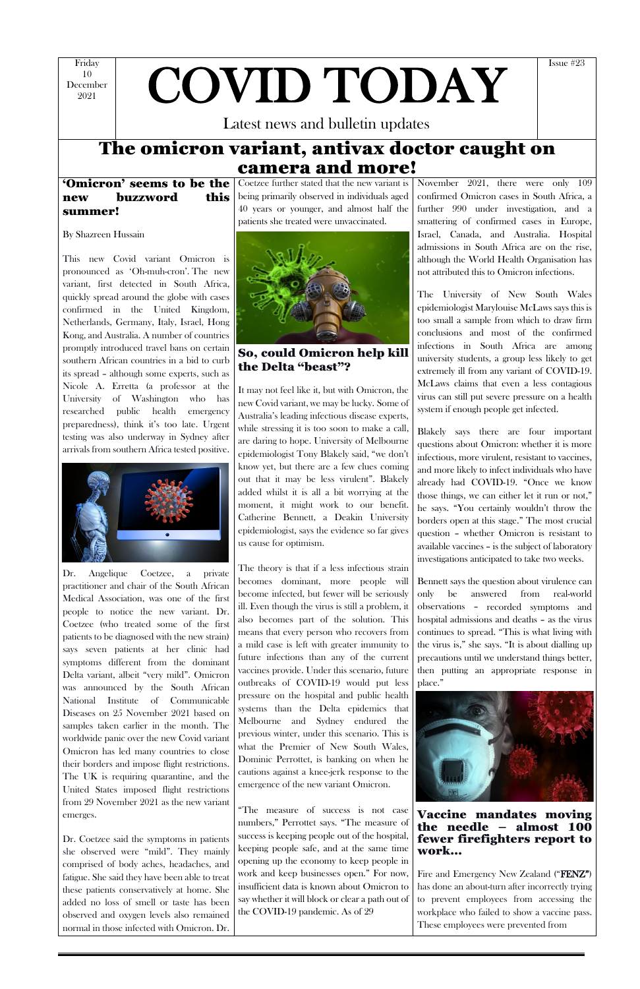Friday 10 December

# $\frac{10}{2021}$  COVID TODAY

Latest news and bulletin updates

Issue #23

## The omicron variant, antivax doctor caught on camera and more!

'Omicron' seems to be the new buzzword this summer!

By Shazreen Hussain

This new Covid variant Omicron is pronounced as 'Oh-muh-cron'. The new variant, first detected in South Africa, quickly spread around the globe with cases confirmed in the United Kingdom, Netherlands, Germany, Italy, Israel, Hong Kong, and Australia. A number of countries promptly introduced travel bans on certain southern African countries in a bid to curb its spread – although some experts, such as Nicole A. Erretta (a professor at the University of Washington who has researched public health emergency preparedness), think it's too late. Urgent testing was also underway in Sydney after arrivals from southern Africa tested positive.



Dr. Angelique Coetzee, a private practitioner and chair of the South African Medical Association, was one of the first people to notice the new variant. Dr. Coetzee (who treated some of the first patients to be diagnosed with the new strain) says seven patients at her clinic had symptoms different from the dominant Delta variant, albeit "very mild". Omicron was announced by the South African National Institute of Communicable Diseases on 25 November 2021 based on samples taken earlier in the month. The worldwide panic over the new Covid variant Omicron has led many countries to close their borders and impose flight restrictions. The UK is requiring quarantine, and the United States imposed flight restrictions from 29 November 2021 as the new variant emerges.

Dr. Coetzee said the symptoms in patients she observed were "mild". They mainly comprised of body aches, headaches, and fatigue. She said they have been able to treat these patients conservatively at home. She added no loss of smell or taste has been observed and oxygen levels also remained normal in those infected with Omicron. Dr.

Coetzee further stated that the new variant is being primarily observed in individuals aged 40 years or younger, and almost half the patients she treated were unvaccinated.

November 2021, there were only 109 confirmed Omicron cases in South Africa, a further 990 under investigation, and a smattering of confirmed cases in Europe, Israel, Canada, and Australia. Hospital admissions in South Africa are on the rise, although the World Health Organisation has not attributed this to Omicron infections.



So, could Omicron help kill the Delta "beast"?

It may not feel like it, but with Omicron, the new Covid variant, we may be lucky. Some of Australia's leading infectious disease experts, while stressing it is too soon to make a call, are daring to hope. University of Melbourne epidemiologist Tony Blakely said, "we don't know yet, but there are a few clues coming out that it may be less virulent". Blakely added whilst it is all a bit worrying at the moment, it might work to our benefit. Catherine Bennett, a Deakin University epidemiologist, says the evidence so far gives us cause for optimism.

> Fire and Emergency New Zealand ("**FENZ"**) has done an about-turn after incorrectly trying to prevent employees from accessing the workplace who failed to show a vaccine pass. These employees were prevented from

The theory is that if a less infectious strain becomes dominant, more people will become infected, but fewer will be seriously ill. Even though the virus is still a problem, it also becomes part of the solution. This means that every person who recovers from a mild case is left with greater immunity to future infections than any of the current vaccines provide. Under this scenario, future outbreaks of COVID-19 would put less pressure on the hospital and public health systems than the Delta epidemics that Melbourne and Sydney endured the previous winter, under this scenario. This is what the Premier of New South Wales, Dominic Perrottet, is banking on when he cautions against a knee-jerk response to the emergence of the new variant Omicron.

"The measure of success is not case numbers," Perrottet says. "The measure of success is keeping people out of the hospital, keeping people safe, and at the same time opening up the economy to keep people in work and keep businesses open." For now, insufficient data is known about Omicron to say whether it will block or clear a path out of the COVID-19 pandemic. As of 29

The University of New South Wales epidemiologist Marylouise McLaws says this is too small a sample from which to draw firm conclusions and most of the confirmed infections in South Africa are among university students, a group less likely to get extremely ill from any variant of COVID-19. McLaws claims that even a less contagious virus can still put severe pressure on a health system if enough people get infected.

Blakely says there are four important questions about Omicron: whether it is more infectious, more virulent, resistant to vaccines, and more likely to infect individuals who have already had COVID-19. "Once we know those things, we can either let it run or not," he says. "You certainly wouldn't throw the borders open at this stage." The most crucial question – whether Omicron is resistant to available vaccines – is the subject of laboratory investigations anticipated to take two weeks.

Bennett says the question about virulence can only be answered from real-world observations – recorded symptoms and hospital admissions and deaths – as the virus continues to spread. "This is what living with the virus is," she says. "It is about dialling up precautions until we understand things better, then putting an appropriate response in place."



Vaccine mandates moving the needle – almost 100 fewer firefighters report to work…